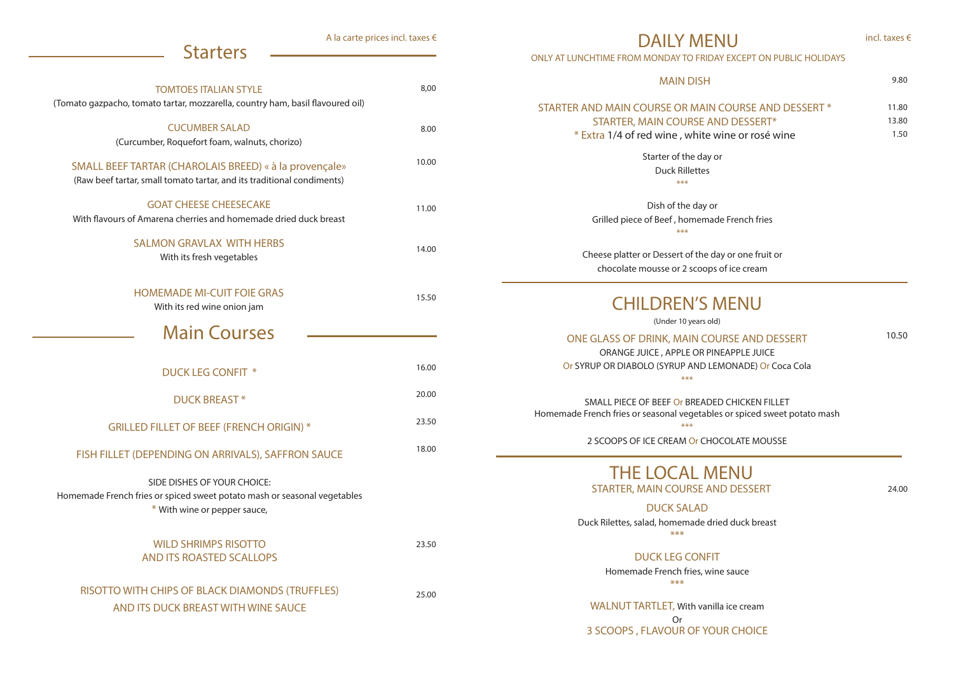| <b>TOMTOES ITALIAN STYLE</b><br>(Tomato gazpacho, tomato tartar, mozzarella, country ham, basil flavoured oil)                          | 8,00  |
|-----------------------------------------------------------------------------------------------------------------------------------------|-------|
| <b>CUCUMBER SALAD</b><br>(Curcumber, Roquefort foam, walnuts, chorizo)                                                                  | 8.00  |
| SMALL BEEF TARTAR (CHAROLAIS BREED) « à la provençale»<br>(Raw beef tartar, small tomato tartar, and its traditional condiments)        | 10.00 |
| <b>GOAT CHEESE CHEESECAKE</b><br>With flavours of Amarena cherries and homemade dried duck breast                                       | 11.00 |
| <b>SALMON GRAVLAX WITH HERBS</b><br>With its fresh vegetables                                                                           | 14.00 |
| <b>HOMEMADE MI-CUIT FOIE GRAS</b><br>With its red wine onion jam                                                                        | 15.50 |
| <b>Main Courses</b>                                                                                                                     |       |
| <b>DUCK LEG CONFIT *</b>                                                                                                                | 16.00 |
| <b>DUCK BREAST*</b>                                                                                                                     | 20.00 |
| <b>GRILLED FILLET OF BEEF (FRENCH ORIGIN) *</b>                                                                                         | 23.50 |
| FISH FILLET (DEPENDING ON ARRIVALS), SAFFRON SAUCE                                                                                      | 18.00 |
| SIDE DISHES OF YOUR CHOICE:<br>Homemade French fries or spiced sweet potato mash or seasonal vegetables<br>* With wine or pepper sauce, |       |
| <b>WILD SHRIMPS RISOTTO</b><br>AND ITS ROASTED SCALLOPS                                                                                 | 23.50 |
|                                                                                                                                         |       |

## Starter of the day or Duck Rillettes \*\*\* STARTER AND MAIN COURSE OR MAIN C **STARTER, MAIN COURSE AN**  $*$  Extra 1/4 of red wine, white w

WALNUT TARTLET, With vanilla ice cream Or 3 SCOOPS , FLAVOUR OF YOUR CHOICE

## **Starters**

A la carte prices incl. taxes €

Dish of the day or Grilled piece of Beef , homemade French fries \*\*\*

Cheese platter or Dessert of the day or one fruit or chocolate mousse or 2 scoops of ice cream

DAILY MENU ONLY AT LUNCHTIME FROM MONDAY TO FRIDAY EXCEPT ON PUBLIC HOLIDAYS

> DUCK SALAD Duck Rilettes, salad, homemade dried duck breast \*\*\*

## DUCK LEG CONFIT

Homemade French fries, wine sauce \*\*\*

## THE LOCAL MENU STARTER, MAIN COURSE AND DESSERT

9.80

| COURSE AND DESSERT * | 11.80 |
|----------------------|-------|
| D DESSERT*           | 13.80 |
| ine or rosé wine     | 1.50  |
|                      |       |

## MAIN DISH

incl. taxes €

## CHILDREN'S MENU

(Under 10 years old)

### ONE GLASS OF DRINK, MAIN COURSE AND DESSERT ORANGE JUICE , APPLE OR PINEAPPLE JUICE

Or SYRUP OR DIABOLO (SYRUP AND LEMONADE) Or Coca Cola \*\*\*

SMALL PIECE OF BEEF Or BREADED CHICKEN FILLET Homemade French fries or seasonal vegetables or spiced sweet potato mash \*\*\*

2 SCOOPS OF ICE CREAM Or CHOCOLATE MOUSSE

10.50

24.00